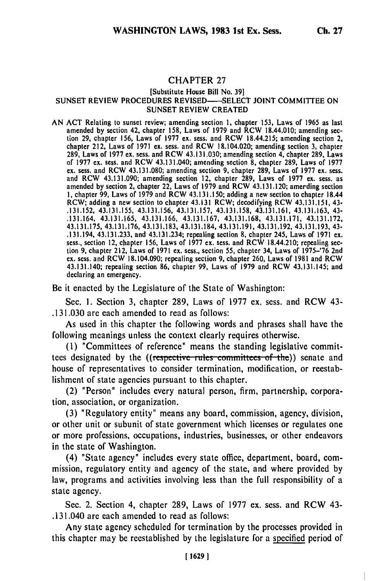## **CHAPTER 27**

## **[Substitute House Bill No. 39] SUNSET REVIEW** PROCEDURES **REVISED-SELECT JOINT COMMITTEE ON SUNSET** REVIEW CREATED

**AN ACT** Relating to sunset review; amending section **1,** chapter **153,** Laws of **1965** as last amended **by** section 42, chapter **158,** Laws of **1979** and RCW 18.44.010; amending sec tion **29,** chapter 156, Laws of **1977** ex. sess. and RCW 18.44.215; amending section 2, chapter 212, Laws of **1971** ex. sess. and RCW 18.104.020; amending section **3,** chapter **289,** Laws of **1977** ex. sess. and RCW 43.131.030; amending section 4, chapter **289,** Laws of **1977 ex.** sess. and RCW 43.131.040; amending section **8,** chapter **289,** Laws of **1977 ex.** sess. and RCW **43.131.080;** amending section **9,** chapter **289,** Laws of **1977** ex. sess. and RCW 43.131.090; amending section 12, chapter **289,** Laws of **1977 ex.** sess. as amended **by** section 2, chapter 22, Laws of **1979** and RCW 43.131.120; amerding section **I,** chapter **99,** Laws of **1979** and RCW 43.131.150; adding a new section to chapter 18.44 1, chapter 99, Laws of 1979 and RCW 43.131.150; adding a new section to chapter 18.44 RCW; adding a new section to chapter 43.131 RCW; decodifying RCW 43.131.151, 43-**.131.152, 43.131.155, 43.131.156, 43.131.157,** 43.131.158, 43.131.161, **43.131.163,** 43- .131.164, **43.131.165, 43.131.166, 43.131.167, 43.131.168, 43.131.171, 43.131.172, 43.131.175, 43.131.176, 43.131.183,** 43.131.184, 43.131.191, 43.131.192, **43.131.193,** 43- .131.194, **43.131.233,** and 43.131.234; repealing section **8,** chapter 245, Laws of **1971** ex. sess., section 12, chapter **156,** Laws of **1977 ex.** sess. and RCW 18.44.210; repealing sec tion **9,** chapter 212, Laws of **1971 ex.** sess., section **55,** chapter 34, Laws of **1975-'76** 2nd **ex.** sess. and RCW 18.104.090; repealing section **9,** chapter **260,** Laws of **1981** and RCW 43.131.140; repealing section **86,** chapter **99,** Laws of **1979** and RCW 43.131.145; and declaring an emergency.

Be it enacted **by** the Legislature of the State of Washington:

Sec. **1.** Section **3,** chapter **289,** Laws of **1977** ex. sess. and RCW 43- **.131.030** are each amended to read as follows:

As used in this chapter the following words and phrases shall have the following meanings unless the context clearly requires otherwise.

**(I)** "Committees of reference" means the standing legislative committees designated by the ((respective rules committees of the)) senate and house of representatives to consider termination, modification, or reestablishment of state agencies pursuant to this chapter.

(2) "Person" includes every natural person, firm, partnership, corporation, association, or organization.

**(3)** "Regulatory entity" means any board, commission, agency, division, or other unit or subunit of state government which licenses or regulates one or more professions, occupations, industries, businesses, or other endeavors in the state of Washington.

(4) "State agency" includes every state office, department, board, commission, regulatory entity and agency of the state, and where provided **by** law, programs and activities involving less than the full responsibility of a state agency.

Sec. 2. Section 4, chapter **289,** Laws of **1977** ex. sess. and RCW 43- .131.040 are each amended to read as follows:

Any state agency scheduled for termination **by** the processes provided in this chapter may be reestablished **by** the legislature for a specified period of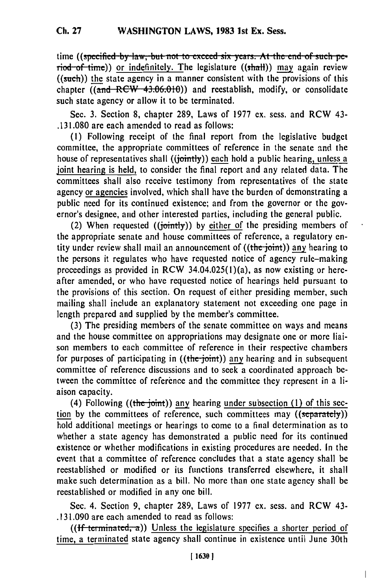time ((specified by law, but not to exceed six years. At the end of such period of time)) or indefinitely. The legislature ((shall)) may again review ((such)) the state agency in a manner consistent with the provisions of this chapter ((and RCW 43.06.010)) and reestablish, modify, or consolidate such state agency or allow it to be terminated.

Sec. **3.** Section **8,** chapter **289,** Laws of **1977** ex. sess. and RCW 43- **.131.080** are each amended to read as follows:

**(1)** Following receipt of the final report from the legislative budget committee, the appropriate committees of reference in the senate and the house of representatives shall ((jointly)) each hold a public hearing, unless a joint hearing is held, to consider the final report and any related data. The committees shall also receive testimony from representatives of the state agency or agencies involved, which shall have the burden of demonstrating a public need for its continued existence; and from the governor or the governor's designee, and other interested parties, including the general public.

(2) When requested ((jointly)) **by** either **of** the presiding members of the appropriate senate and house committees of reference, a regulatory **en**tity under review shall mail an announcement of ((the joint)) any hearing to the persons it regulates who have requested notice of agency rule-making proceedings as provided in RCW 34.04.025(I)(a), as now existing or hereafter amended, or who have requested notice of hearings **held** pursuant to the provisions of this section. On request of either presiding member, such mailing shall include an explanatory statement not exceeding one page in length prepared and supplied **by** the member's committee.

(3) The presiding members of the senate committee on ways and means and the house committee on appropriations may designate one or more liaison members to each committee of reference in their respective chambers for purposes of participating in ((the-joint)) any hearing and in subsequent committee of reference discussions and to seek a coordinated approach between the committee of reference and the committee they represent in a liaison capacity.

(4) Following ((the joint)) any hearing under subsection (1) of this section by the committees of reference, such committees may ((separately)) hold additional meetings or hearings to come to a final determination as to whether a state agency has demonstrated a public need for its continued existence or whether modifications in existing procedures are needed. In the event that a committee of reference concludes that a state agency shall be reestablished or modified or its functions transferred elsewhere, it shall make such determination as a bill. No more than one state agency shall be reestablished or modified in any one bill.

Sec. 4. Section **9,** chapter **289,** Laws of **1977 ex.** sess. and RCW 43- **.131.090** are each amended to read as follows:

 $((\text{If terminated}, \alpha))$  Unless the legislature specifies a shorter period of time, a terminated state agency shall continue in existence until June 30th

 $\overline{\phantom{a}}$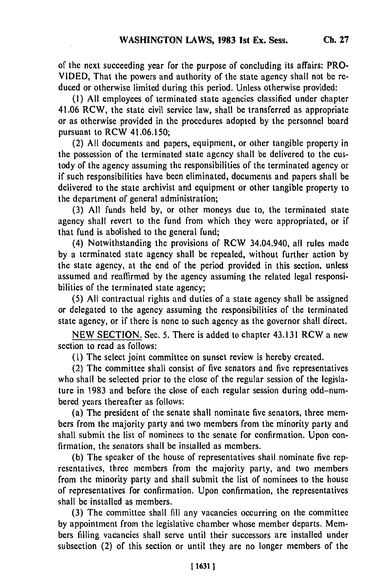of the next succeeding year for the purpose of concluding its affairs: PRO-VIDED, That the powers and authority of the state agency shall not be reduced or otherwise limited during this period. Unless otherwise provided:

**(1)** All employees of terminated state agencies classified under chapter 41.06 RCW, the state civil service law, shall **be** transferred as appropriate or as otherwise provided in the procedures adopted **by** the personnel board pursuant to RCW 41.06.150;

(2) All documents and papers, equipment, or other tangible property in the possession of the terminated state agency shall be delivered to the custody of the agency assuming the responsibilities of the terminated agency or if such responsibilities have been eliminated, documents and papers shall be delivered to the state archivist and equipment or other tangible property to the department of general administration;

(3) All funds held **by,** or other moneys due to, the terminated state agency shall revert to the fund from which they were appropriated, or if that fund is abolished to the general fund;

(4) Notwithstanding the provisions of RCW 34.04.940, all rules made **by** a terminated state agency shall be repealed, without further action by the state agency, at the end of the period provided in this section, unless assumed and reaffirmed **by** the agency assuming the related legal responsibilitics of the terminated state agency;

(5) All contractual rights and duties of a state agency shall be assigned or delegated to the agency assuming the responsibilities of the terminated state agency, or if there is none to such agency as the governor shall direct.

NEW SECTION. Sec. 5. There is added to chapter 43.131 RCW a new section to read as follows:

**(1)** The select joint committee on sunset review is hereby created.

(2) The committee shall consist of five senators and five representatives who shall be selected prior to the close of the regular session of the legislature in 1983 and before the close of each regular session during odd-numbered years thereafter as follows:

(a) The president of the senate shall nominate five senators, three members from the majority party and two members from the minority party and shall submit the list of nominees to the senate for confirmation. Upon confirmation, the senators shall be installed as members.

(b) The speaker of the house of representatives shall nominate five representatives, three members from the majority party, and two members from the minority party and shall submit the list of nominees to the house of representatives for confirmation. Upon confirmation, the representatives shall be installed as members.

(3) The committee shall fill any vacancies occurring on the committee by appointment from the legislative chamber whose member departs. Members filling vacancies shall serve until their successors are installed under subsection (2) of this section or until they are no longer members of the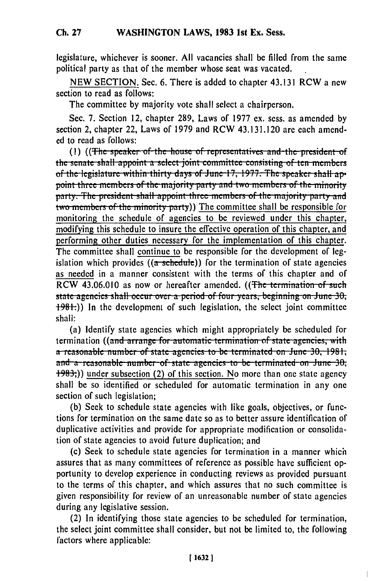legislature, whichever is sooner. **All** vacancies shall be filled from the same political party as that of the member whose seat was vacated.

**NEW SECTION.** Sec. **6.** There is added to chapter 43.131 RCW a new section to read as follows:

The committee by majority vote shall select a chairperson.

Sec. 7. Section 12, chapter 289, Laws of 1977 ex. sess. as amended by section 2, chapter 22, Laws of 1979 and RCW 43.131.120 are each amended to read as follows:

(1) ((The speaker of the house of representatives and the president of the senate shall appoint a select joint committee consisting of ten members of the legislature within thirty days of June 17, 1977. The speaker shall ap**point three members of the majority party and two members of the minority** party. The president shall appoint three members of the majority party and two members of the minority party)) The committee shall be responsible for monitoring the schedule of agencies to be reviewed under this chapter, modifying this schedule to insure the effective operation of this chapter, and performing other duties necessary for the implementation of this chapter. The committee shall continue to be responsible for the development of legislation which provides  $((a$ -schedule)) for the termination of state agencies as needed in a manner consistent with the terms of this chapter and of RCW 43.06.010 as now or hereafter amended. ((The termination of such state agencies shall occur over a period of four years, beginning on June 30, **f +98+.**)) In the development of such legislation, the select joint committee shall:

(a) Identify state agencies which might appropriately be scheduled for **termination** ((and arrange for automatic termination of state agencies, with **a**-reasonable number of state agencies to be terminated on June 30, 1981, and a reasonable number of state agencies to be terminated on June 30, **+983;))** under subsection (2) of this section. No more than one state agency shall be so identified or scheduled for automatic termination in any one section of such legislation;

(b) Seek to schedule state agencies with like goals, objectives, or functions for termination on the same date so as to better assure identification of duplicative activities and provide for appropriate modification or consolidation of state agencies to avoid future duplication; and

(c) Seek to schedule state agencies for termination in a manner which assures that as many committees of reference as possible have sufficient opportunity to develop experience in conducting reviews as provided pursuant to the terms of this chapter, and which assures that no such committee is given responsibility for review of an unreasonable number of state agencies during any legislative session.

(2) In identifying those state agencies to be scheduled for termination, the select joint committee shall consider, but not be limited to, the following factors where applicable: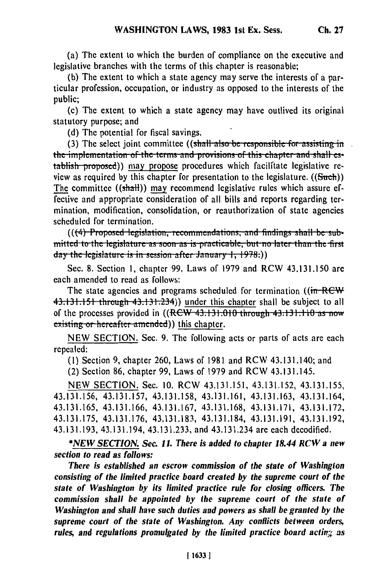(a) The extent to which the burden of compliance on the executive and legislative branches with the terms of this chapter is reasonable;

(b) The extent to which a state agency may serve the interests of a particular profession, occupation, or industry as opposed to the interests of the public;

(c) The extent to which a state agency may have outlived its original statutory purpose; and

(d) The potential for fiscal savings.

(3) The select joint committee ((shall also be responsible for assisting in **the implementation of the terms and provisions of this chapter and shall es**tablish proposed)) may propose procedures which facilitate legislative review as required by this chapter for presentation to the legislature.  $((\text{Such}))$ The committee  $((shall))$  may recommend legislative rules which assure effective and appropriate consideration of all bills and reports regarding termination, modification, consolidation, or reauthorization of state agencies scheduled for termination.

(((4) Proposed legislation, recommendations, and findings shall be submitted to the legislature as soon as is practicable, but no later than the first **day** the legislature is in session after January 1, 1978.))

Sec. 8. Section **1,** chapter 99, Laws of **1979** and RCW 43.131.150 are each amended to read as follows:

The state agencies and programs scheduled for termination ((in-REW)  $43.131.151$  through  $43.131.234$ ) under this chapter shall be subject to all of the processes provided in  $((RCW-43.131.010$  through  $-43.131.110$  as now existing or hereafter amended)) this chapter.

NEW SECTION. Sec. 9. The following acts or parts of acts are each repealed:

**(1)** Section 9, chapter 260, Laws of 1981 and RCW 43.131.140; and

(2) Section 86, chapter 99, Laws of 1979 and RCW 43.131.145.

NEW SECTION. Sec. 10. RCW 43.131.151, 43.131.152, 43.131.155, 43.131.156, 43.131.157, 43.131.158, 43.131.161, 43.131.163, 43.131.164, 43.131.165, 43.131.166, 43.131.167, 43.131.168, 43.131.171, 43.131.172, 43.131.175, 43.131.176, 43.131.183, 43.131.184, 43.131.191, 43.131.192, 43.131.193, 43.131.194, 43.131.233, and 43.131.234 are each decodified.

*\*NEW SECTION. Sec. 11. There is added to chapter 18.44 RCW a new section to read as follows:*

*There is established an escrow commission of the state of Washington consisting of the limited practice board created by the supreme court of the state of Washington by its limited practice rule for closing officers. The commission shall be appointed by the supreme court of the state of Washington and shall have such duties and powers as shall* **be** *granted by the supreme court of the state of Washington. Any conflicts between orders, rules, and regulations promulgated by the limited practice board actinv; as*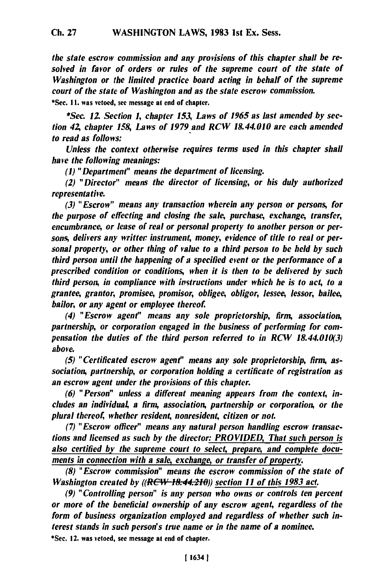*the state escrow commission and any provisions of this chapter shall be resolved in favor of orders or rules of the supreme court of the state of Washington or the limited practice board acting in behalf of the supreme court of the state of Washington and as the state escrow commission.*

\*Sec. **I I.** was vetoed, see message at end **of** chapter.

*\*Sec. 12 Section 1, chapter 153, Laws of 1965 as last amended by section 42, chapter 158, Laws of 1979 and RCW 18.44.010 are each amended to read as follows:*

*Unless the context otherwise requires terms used in this chapter shall have the following meanings:*

*(1) "Department" means the department of licensing.*

*(2) "Director" means the director of licensing, or his duly authorized representative.*

*(3) "Escrow" means any transaction wherein any person or persons, for the purpose of effecting and closing the sale, purchase, exchange, transfer, encumbrance, or lease of real or personal property to another person or persons, delivers any writter instrument, money, evidence of title to real or personal property, or other thing of value to a third person to be held by such third person until the happening of a specified event or the performance of a prescribed condition or conditions, when it is then to be delivered by such third person, in compliance with istructions under which he is to act, to a grantee, grantor, promisee, promisor, obligee, obligor, lessee, lessor, bailee, bailor, or any agent or employee thereof.*

*(4) "Escrow agent" means any sole proprietorship, firm, association, partnership, or corporation engaged in the business of performing for compensation the duties of the third person referred to in RCW 18.44.010(3) above.*

*(5) "Certificated escrow agent" means any sole proprietorship, firm, association, partnership, or corporation holding a certificate of registration as an escrow agent under the provisions of this chapter.*

*(6) "Person" unless a different meaning appears from the context, includes an individual a firm, association, partnership or corporation, or the plural thereof, whether resident, nonresident, citizen or not.*

*(7) "Escrow officer" means any natural person handling escrow transactions and licensed as such by the director: PROVIDED, That such person is also certified by the supreme court to select, prepare, and complete documents in connection with a sale, exchange, or transfer of property.*

*(8) "Escrow commission" means the escrow commission of the state of Washington created by ((RCW 18.44.210)) section 11 of this 1983 act.* 

*(9) "Controlling person" is any person who owns or controls ten percent or more of the beneficial ownership of any escrow agent, regardless of the form of business organization employed and regardless of whether such interest stands in such person's true name or in the name of a nominee.* \*Sec. 12. was vetoed, see message at end **of** chapter.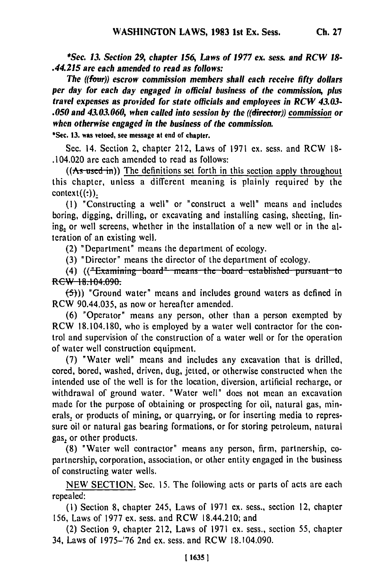*\*Sec. 13. Section 29, chapter 156, Laws of 1977 ex. sess. and RCW 18- .44.215 are each amended to read as follows:*

*The ((four)) escrow commission members shall each receive fifty dollars per day for each day engaged in official business of the commission, plus travel expenses as provided for state officials and employees in RCW 43.03- .050 and 43.03.060, when called into session by the ((director)) commission or when otherwise engaged in the business of the commission.*

**\*Sec. 13. was vetoed, see message at end of chapter.**

Sec. 14. Section 2, chapter 212, Laws of 1971 ex. sess. and RCW **18-** .104.020 are each amended to read as follows:

**((As** used in)) The definitions set forth in this section apply throughout this chapter, unless a different meaning is plainly required by the context context  $\text{context}((:)_{\text{2}}$ <br>(1) "Constructing a well" or "construct a well" means and includes

boring, digging, drilling, or excavating and installing casing, sheeting, lining, or well screens, whether in the installation of a new well or in the alteration of an existing well.

(2) "Department" means the department of ecology.

(3) "Director" means the director of the department of ecology.<br>(4)  $((\text{#Examining–board--means–the–board–established–pursuant–to}$ RCW 18.104.090.

**(5)))** "Ground water" means and includes ground waters as defined in RCW 90.44.035, as now or hereafter amended.

(6) "Operator" means any person, other than a person exempted by RCW 18.104.180, who is employed by a water well contractor for the control and supervision of the construction of a water well or for the operation of water well construction equipment.

(7) "Water well" means and includes any excavation that is drilled, cored, bored, washed, driven, dug, jetted, or otherwise constructed when the intended use of the well is for the location, diversion, artificial recharge, or withdrawal of ground water. "Water well" does not mean an excavation made for the purpose of obtaining or prospecting for oil, natural gas, minerals, or products of mining, or quarrying, or for inserting media to repressure oil or natural gas bearing formations, or for storing petroleum, natural gas, or other products.

(8) "Water well contractor" means any person, firm, partnership, copartnership, corporation, association, or other entity engaged in the business of constructing water wells.

NEW SECTION. Sec. 15. The following acts or parts of acts are each repealed:

(I) Section 8, chapter 245, Laws of 1971 ex. sess., section 12, chapter 156, Laws of 1977 ex. sess. and RCW 18.44.210; and

(2) Section 9, chapter 212, Laws of 1971 ex. sess., section 55, chapter 34, Laws of 1975-'76 2nd ex. sess. and RCW 18.104.090.